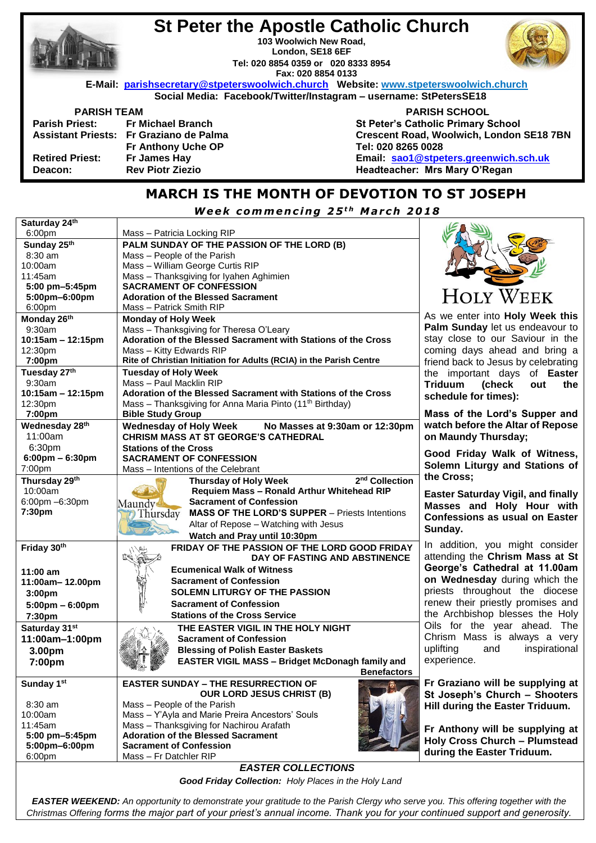|                                                                   | <b>St Peter the Apostle Catholic Church</b> |                                                                                      |  |  |  |
|-------------------------------------------------------------------|---------------------------------------------|--------------------------------------------------------------------------------------|--|--|--|
| 103 Woolwich New Road.                                            |                                             |                                                                                      |  |  |  |
|                                                                   | London, SE18 6EF                            |                                                                                      |  |  |  |
|                                                                   | Tel: 020 8854 0359 or 020 8333 8954         |                                                                                      |  |  |  |
|                                                                   | Fax: 020 8854 0133                          |                                                                                      |  |  |  |
|                                                                   |                                             | E-Mail: parishsecretary@stpeterswoolwich.church Website: www.stpeterswoolwich.church |  |  |  |
| Social Media: Facebook/Twitter/Instagram - username: StPetersSE18 |                                             |                                                                                      |  |  |  |
| <b>PARISH TEAM</b>                                                |                                             | <b>PARISH SCHOOL</b>                                                                 |  |  |  |
|                                                                   | Parish Priest: Fr Michael Branch            | <b>St Peter's Catholic Primary School</b>                                            |  |  |  |
|                                                                   | Assistant Priests: Fr Graziano de Palma     | Crescent Road, Woolwich, London SE18 7BN                                             |  |  |  |
|                                                                   | Fr Anthony Uche OP                          | Tel: 020 8265 0028                                                                   |  |  |  |
| <b>Retired Priest:</b>                                            | Fr James Hay                                | Email: sao1@stpeters.greenwich.sch.uk                                                |  |  |  |
| Deacon:                                                           | <b>Rev Piotr Ziezio</b>                     | Headteacher: Mrs Mary O'Regan                                                        |  |  |  |
|                                                                   |                                             |                                                                                      |  |  |  |

## **MARCH IS THE MONTH OF DEVOTION TO ST JOSEPH**

*W e e k c omm e n c i n g 2 5 t h M a r c h 2 0 1 8*

| Saturday 24th                     |                                                                         |                           |  |
|-----------------------------------|-------------------------------------------------------------------------|---------------------------|--|
| 6:00pm                            | Mass - Patricia Locking RIP                                             |                           |  |
| Sunday 25th                       | PALM SUNDAY OF THE PASSION OF THE LORD (B)                              |                           |  |
| $8:30$ am                         | Mass - People of the Parish                                             |                           |  |
| 10:00am                           | Mass - William George Curtis RIP                                        |                           |  |
| 11:45am                           | Mass - Thanksgiving for Iyahen Aghimien                                 |                           |  |
| 5:00 pm-5:45pm                    | <b>SACRAMENT OF CONFESSION</b>                                          |                           |  |
| 5:00pm-6:00pm                     | <b>Adoration of the Blessed Sacrament</b>                               |                           |  |
| 6:00pm                            | Mass - Patrick Smith RIP                                                |                           |  |
| Monday 26th                       | <b>Monday of Holy Week</b>                                              | As we                     |  |
| 9:30am                            | Mass - Thanksgiving for Theresa O'Leary                                 | Palm 9                    |  |
|                                   | stay c<br>Adoration of the Blessed Sacrament with Stations of the Cross |                           |  |
| $10:15am - 12:15pm$               |                                                                         |                           |  |
| 12:30pm                           | Mass - Kitty Edwards RIP                                                | coming<br>friend <b>I</b> |  |
| 7:00pm                            | Rite of Christian Initiation for Adults (RCIA) in the Parish Centre     |                           |  |
| Tuesday 27th                      | <b>Tuesday of Holy Week</b>                                             | the in                    |  |
| 9:30am                            | Mass - Paul Macklin RIP                                                 | <b>Triduu</b>             |  |
| $10:15am - 12:15pm$               | Adoration of the Blessed Sacrament with Stations of the Cross<br>sched  |                           |  |
| 12:30pm                           | Mass - Thanksgiving for Anna Maria Pinto (11 <sup>th</sup> Birthday)    |                           |  |
| 7:00pm                            | <b>Bible Study Group</b>                                                | Mass                      |  |
| Wednesday 28th                    | Wednesday of Holy Week No Masses at 9:30am or 12:30pm                   | watch                     |  |
| 11:00am                           | <b>CHRISM MASS AT ST GEORGE'S CATHEDRAL</b>                             | on Ma                     |  |
| 6:30pm                            | <b>Stations of the Cross</b>                                            |                           |  |
| $6:00 \text{pm} - 6:30 \text{pm}$ | <b>SACRAMENT OF CONFESSION</b>                                          | Good                      |  |
| 7:00pm                            | Mass - Intentions of the Celebrant                                      | Solem                     |  |
| Thursday 29th                     | 2 <sup>nd</sup> Collection<br><b>Thursday of Holy Week</b>              | the Cr                    |  |
| 10:00am                           | Requiem Mass - Ronald Arthur Whitehead RIP                              | <b>Easter</b>             |  |
| 6:00pm -6:30pm                    | <b>Sacrament of Confession</b><br>Maundy                                |                           |  |
| 7:30pm                            | <b>MASS OF THE LORD'S SUPPER - Priests Intentions</b><br>Thursday       | Masse                     |  |
|                                   | Altar of Repose - Watching with Jesus                                   | Confe:                    |  |
|                                   |                                                                         | Sunda                     |  |
|                                   | Watch and Pray until 10:30pm                                            | In add                    |  |
| Friday 30th                       | FRIDAY OF THE PASSION OF THE LORD GOOD FRIDAY                           | attendi                   |  |
|                                   | DAY OF FASTING AND ABSTINENCE                                           |                           |  |
| $11:00$ am                        | <b>Ecumenical Walk of Witness</b>                                       | Georg                     |  |
| 11:00am-12.00pm                   | <b>Sacrament of Confession</b>                                          | on We                     |  |
| 3:00pm                            | <b>SOLEMN LITURGY OF THE PASSION</b>                                    | priests                   |  |
| $5:00 \text{pm} - 6:00 \text{pm}$ | <b>Sacrament of Confession</b>                                          | renew                     |  |
| 7:30pm                            | <b>Stations of the Cross Service</b>                                    | the Ar                    |  |
| Saturday 31st                     | THE EASTER VIGIL IN THE HOLY NIGHT                                      | Oils f                    |  |
| 11:00am-1:00pm                    | <b>Sacrament of Confession</b>                                          | Chrism                    |  |
|                                   |                                                                         | uplifting                 |  |
| 3.00pm                            | <b>Blessing of Polish Easter Baskets</b>                                |                           |  |
| 7:00pm                            | <b>EASTER VIGIL MASS - Bridget McDonagh family and</b>                  | experie                   |  |
|                                   | <b>Benefactors</b>                                                      |                           |  |
| Sunday 1st                        | <b>EASTER SUNDAY – THE RESURRECTION OF</b>                              | Fr Gra                    |  |
|                                   | <b>OUR LORD JESUS CHRIST (B)</b>                                        | St Jos                    |  |
| 8:30 am                           | Mass - People of the Parish                                             | Hill du                   |  |
| 10:00am                           | Mass - Y'Ayla and Marie Preira Ancestors' Souls                         |                           |  |
| 11:45am                           | Mass - Thanksgiving for Nachirou Arafath                                | <b>Fr</b> Ant             |  |
| 5:00 pm-5:45pm                    | <b>Adoration of the Blessed Sacrament</b>                               | Holy C                    |  |
| 5:00pm-6:00pm                     | <b>Sacrament of Confession</b>                                          | during                    |  |
| 6:00pm                            | Mass - Fr Datchler RIP                                                  |                           |  |
|                                   | <b>EASTER COLLECTIONS</b>                                               |                           |  |
|                                   | Good Friday Collection: Holy Places in the Holy Land                    |                           |  |

*EASTER WEEKEND: An opportunity to demonstrate your gratitude to the Parish Clergy who serve you. This offering together with the Christmas Offering forms the major part of your priest's annual income. Thank you for your continued support and generosity.*

**IOLY WEEK** enter into **Holy Week this Sunday** let us endeavour to lose to our Saviour in the g days ahead and bring a

back to Jesus by celebrating the important days of **Easter Triduum (check out the schedule for times):** 

of the Lord's Supper and **before the Altar of Repose undy Thursday;** 

**Friday Walk of Witness, In Liturgy and Stations of the Cross;** 

**Easter Saturday Vigil, and finally Masses and Holy Hour with Confessions as usual on Easter**  ly.

dition, you might consider ing the **Chrism Mass at St George's Cathedral at 11.00am adnesday** during which the throughout the diocese their priestly promises and chbishop blesses the Holy or the year ahead. The n Mass is always a very g and inspirational ence.

**Fr Graziano will be supplying at St Joseph's Church – Shooters Hillera Easter Triduum.** 

**Franciple 3** *Fer supplying at* **Holy Cross Church – Plumstead the Easter Triduum.**